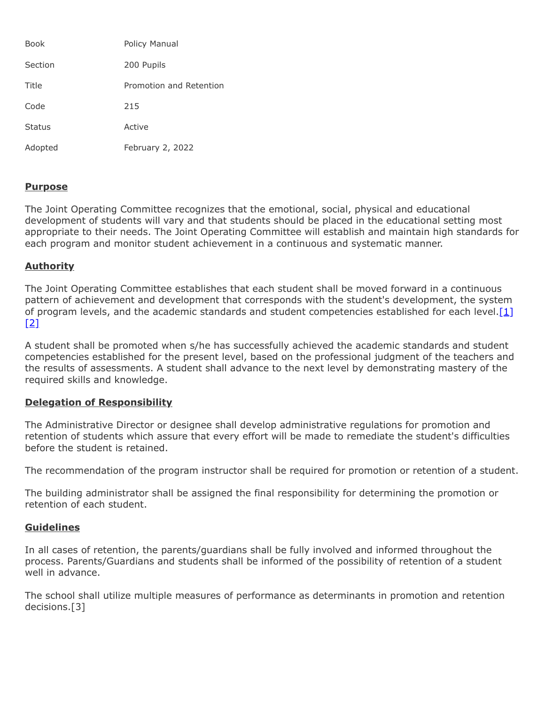| <b>Book</b>   | Policy Manual           |
|---------------|-------------------------|
| Section       | 200 Pupils              |
| Title         | Promotion and Retention |
| Code          | 215                     |
| <b>Status</b> | Active                  |
| Adopted       | February 2, 2022        |

## **Purpose**

The Joint Operating Committee recognizes that the emotional, social, physical and educational development of students will vary and that students should be placed in the educational setting most appropriate to their needs. The Joint Operating Committee will establish and maintain high standards for each program and monitor student achievement in a continuous and systematic manner.

## **Authority**

The Joint Operating Committee establishes that each student shall be moved forward in a continuous pattern of achievement and development that corresponds with the student's development, the system of program levels, and the academic standards and student competencies established for each level. $[1]$ [\[2\]](http://pacodeandbulletin.gov/Display/pacode?file=/secure/pacode/data/022/chapter4/s4.42.html&d=reduce)

A student shall be promoted when s/he has successfully achieved the academic standards and student competencies established for the present level, based on the professional judgment of the teachers and the results of assessments. A student shall advance to the next level by demonstrating mastery of the required skills and knowledge.

## **Delegation of Responsibility**

The Administrative Director or designee shall develop administrative regulations for promotion and retention of students which assure that every effort will be made to remediate the student's difficulties before the student is retained.

The recommendation of the program instructor shall be required for promotion or retention of a student.

The building administrator shall be assigned the final responsibility for determining the promotion or retention of each student.

## **Guidelines**

In all cases of retention, the parents/guardians shall be fully involved and informed throughout the process. Parents/Guardians and students shall be informed of the possibility of retention of a student well in advance.

The school shall utilize multiple measures of performance as determinants in promotion and retention decisions.[3]